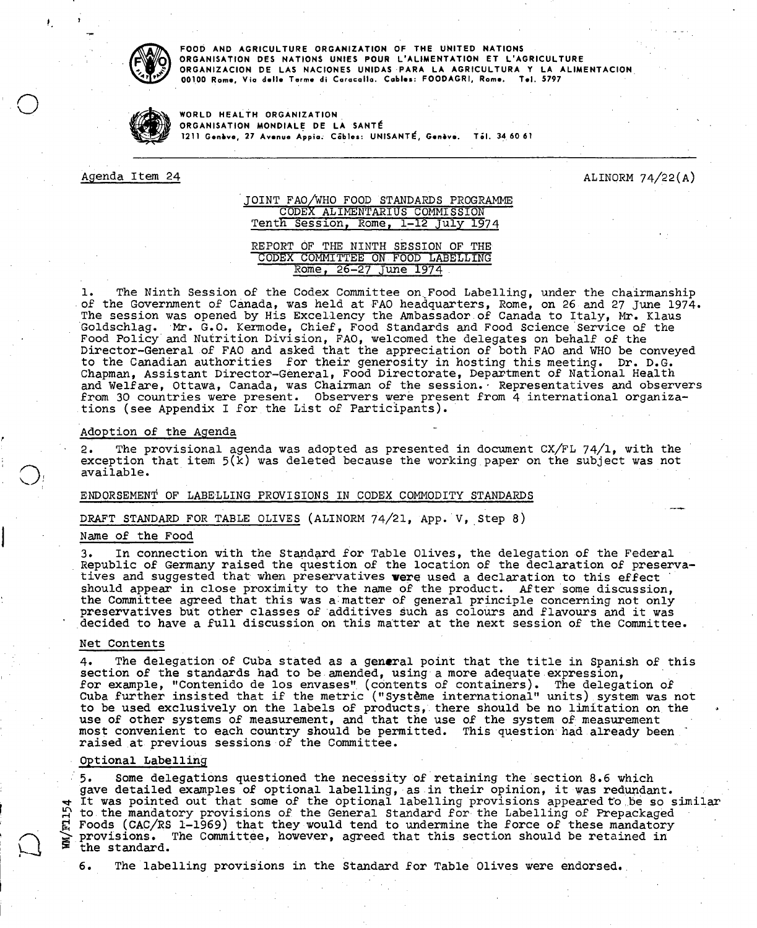

**FOOD AND AGRICULTURE ORGANIZATION OF THE UNITED NATIONS ORGANISATION DES NATIONS UNIES POUR L'ALIMENTATION ET L'AGRICULTURE ORGANIZACION DE LAS NACIONES UNIDAS PARA LA AGRICULTURA Y LA ALIMENTACION 00100 Rome, Via delle Terme di Caracalla. Cables: FOODAGRI, Rome. T•I. 5797** 

**WORLD HEALTH ORGANIZATION ORGANISATION MONDIALE DE LA SANTÉ 1211 Genève, 27 Avenue Appia. Cables: UNISANTÉ, Genève. Till. 34**. **60 61** 

Agenda Item 24 ALINORM 74/22(A)

# JOINT FAO/WHO FOOD STANDARDS PROGRAMME CODEX ALIMENTARIUS COMMISSION Tenth Session, Rome, 1-12 July 1974

REPORT OF THE NINTH SESSION OF THE CODEX COMMITTEE ON FOOD LABELLING Rome, 26-27 June 1974

The Ninth Session of the Codex Committee on. Food Labelling, under the chairmanship ı. of the Government of Canada, was held at FAO headquarters, Rome, on 26 and 27 June 1974. The session was opened by His Excellency the Ambassador of Canada to Italy, Mr. Klaus Goldschlag. Mr. G.O. Kermode, Chief, Food Standards and Food Science Service of the Food Policy'and Nutrition Division, FAO, welcomed the delegates on behalf of the Director-General of FAO and asked that the appreciation of both FAO and WHO be conveyed to the Canadian authorities for their generosity in hosting this meeting. Dr. D.G. Chapman, Assistant Director-General, Food Directorate, Department of National Health and Welfare, Ottawa, Canada, was Chairman of the session. Representatives and observers from 30 countries were present. Observers were present from 4 international organizations (see Appendix I for the List of Participants).

### Adoption of the Agenda

The provisional agenda was adopted as presented in document CX/FL 74/1, with the exception that item 5(k) was deleted because the working paper on the subject was not available.

### ENDORSEMENT OF LABELLING PROVISIONS IN CODEX COMMODITY STANDARDS

DRAFT STANDARD FOR TABLE OLIVES (ALINORM 74/21, App. V, Step 8)

### Name of the Food

In connection with the Standard for Table Olives, the delegation of the Federal 3. Republic of Germany raised the question of the location of the declaration of preservatives and suggested that when preservatives were used a declaration to this effect should appear in close proximity to the name of the product. After some discussion, the Committee agreed that this was a matter of general principle concerning not only preservatives but other classes of additives such as colours and flavours and it was ' decided to have a full discussion on this matter at the next session of the Committee.

#### Net Contents

The delegation of Cuba stated as a general point that the title in Spanish of this  $4.$ section of the standards had to be amended, using a more adequate expression, for example, "Contenido de los envases" (contents of containers). The delegation of Cuba further insisted that if the metric ("système international" units) system was not to be used exclusively on the labels of products, there should be no limitation on the use of other systems of measurement, and that the use of the system of measurement most convenient to each country should be permitted. This question had already been raised at previous sessions of the Committee.

#### Optional Labelling

• 5. Some delegations questioned the necessity of retaining the section 8.6 which gave detailed examples of optional labelling, as in their opinion, it was redundant. It was pointed out that some of the optional labelling provisions appeared to be so similar  $\Omega$  to the mandatory provisions of the General Standard for the Labelling of Prepackaged Foods (CAC/RS 1-1969) that they would tend to undermine the force of these mandatory provisions. The Committee, however, agreed that this section should be retained in the st andard.

6. The labelling provisions in the Standard for Table Olives were endorsed.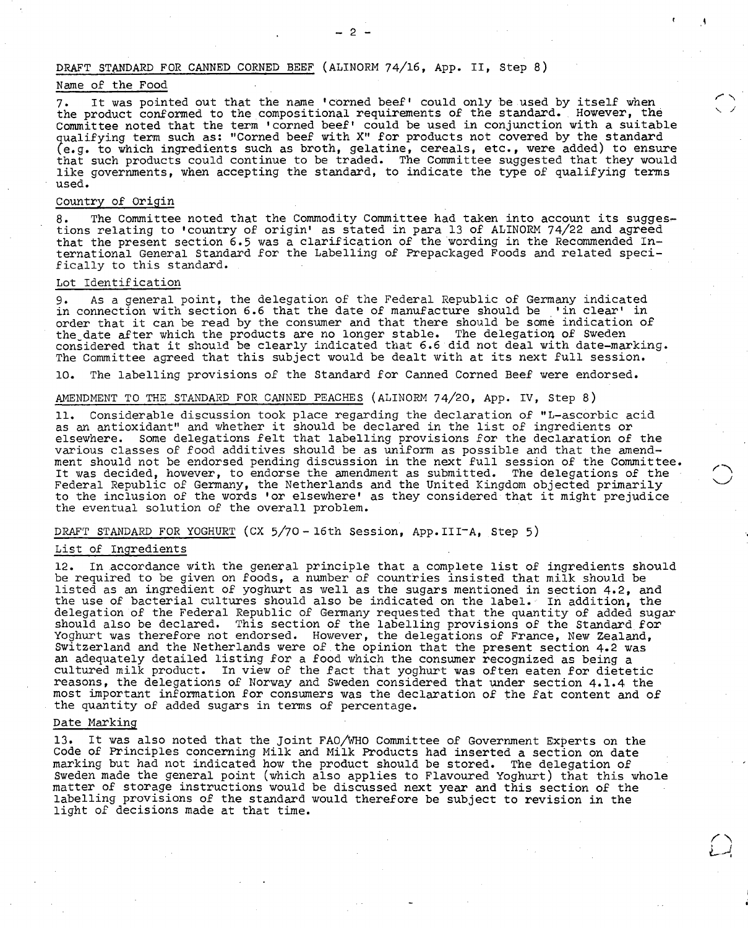# DRAFT STANDARD FOR CANNED CORNED BEEF (ALINORM 74/16, App. II, Step 8)

## Name of the Food

It was pointed out that the name 'corned beef' could only be used by itself when the product conformed to the compositional requirements of the standard. However, the Committee noted that the term 'corned beef' could be used in conjunction with a suitable qualifying term such as: "Corned beef with X" for products not covered by the standard (e.g. to which ingredients such as broth, gelatine, cereals, etc., were added) to ensure that such products could continue to be traded. The Committee suggested that they would like governments, when accepting the standard, to indicate the type of qualifying terms used.

### Country of Origin

The Committee noted that the Commodity Committee had taken into account its sugges-8. tions relating to 'country of origin' as stated in para 13 of ALINORM 74/22 and agreed that the present section 6.5 was a clarification of the wording in the Recommended International General Standard for the Labelling of Prepackaged Foods and related specifically to this standard.

### Lot Identification

As a general point, the delegation of the Federal Republic of Germany indicated 9. in connection with section 6.6 that the date of manufacture should be 'in clear' in order that it can be read by the consumer and that there should be some indication of the date after which the products are no longer stable. The delegation of Sweden considered that it should be clearly indicated that 6.6 did not deal with date-marking. The Committee agreed that this subject would be dealt with at its next full session.

10. The labelling provisions of the Standard for Canned Corned Beef were endorsed.

### AMENDMENT TO THE STANDARD FOR CANNED PEACHES (ALINORM 74/20, App. IV, Step 8)

Considerable discussion took place regarding the declaration of "L-ascorbic acid as an antioxidant" and whether it should be declared in the list of ingredients or elsewhere. Some delegations felt that labelling provisions for the declaration of the various classes of food additives should be as uniform as possible and that the amendment should not be endorsed pending discussion in the next full session of the Committee. It was decided, however, to endorse the amendment as submitted. The delegations of the Federal Republic of Germany, the Netherlands and the United Kingdom objected primarily to the inclusion of the words 'or elsewhere' as they considered that it might prejudice the eventual solution of the overall problem.

### DRAFT STANDARD FOR YOGHURT (CX 5/70 - 16th Session, App.III-A, Step 5)

# List of Ingredients

12. In accordance with the general principle that a complete list of ingredients should be required to be given on foods, a number of countries insisted that milk should be listed as an ingredient of yoghurt as well as the sugars mentioned in section 4.2, and the use of bacterial cultures should also be indicated on the label. In addition, the delegation of the Federal Republic of Germany requested that the quantity of added sugar should also be declared. This section of the labelling provisions of the Standard for Yoghurt was therefore not endorsed. However, the delegations of France, New Zealand, Switzerland and the Netherlands were of the opinion that the present section 4.2 was an adequately detailed listing for a food which the consumer recognized as being a cultured milk product. In view of the fact that yoghurt was often eaten for dietetic reasons, the delegations of Norway and Sweden considered that under section 4.1.4 the most important information for consumers was the declaration of the fat content and of the quantity of added sugars in terms of percentage.

### Date Marking

It was also noted that the Joint FAO/WHO Committee of Government Experts on the Code of Principles concerning Milk and Milk Products had inserted a section on date marking but had not indicated how the product should be stored. The delegation of Sweden made the general point (which also applies to Flavoured Yoghurt) that this whole matter of storage instructions would be discussed next year and this section of the labelling provisions of the standard would therefore be subject to revision in the light of decisions made at that time.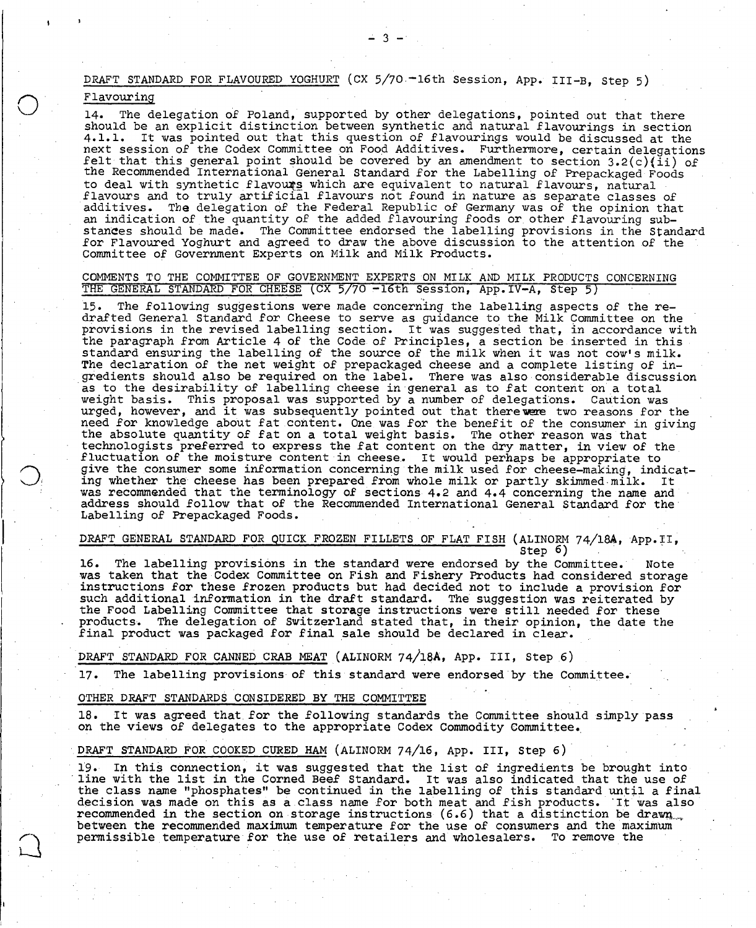DRAFT STANDARD FOR FLAVOURED YOGHURT (CX 5/70. -16th Session, App. III-B. Step 5)

 $-3 -$ 

# Flavouring

14. The delegation of Poland, supported by other delegations, pointed out that there should be an explicit distinction between synthetic and natural flavourings in section 4.1.1. It was pointed out that this question of flavourings would be discussed at the next session of the Codex Committee on Food Additives. Furthermore, certain delegations felt that this general point should be covered by an amendment to section 3.2(c)(ii) of the Recommended International General Standard for the Labelling of Prepackaged Foods to deal with synthetic flavours which are equivalent to natural flavours, natural flavours and to truly artificial flavours not found in nature as separate classes of additives. The delegation of the Federal Republic of Germany was of the opinion that an indication of the quantity of the added flavouring foods or other flavouring substances should be made. The Committee endorsed the labelling provisions in the Standard for Flavoured Yoghurt and agreed to draw the above discussion to the attention of the Committee of Government Experts on Milk and Milk Products.

# COMMENTS TO THE COMMITTEE OF GOVERNMENT EXPERTS ON MILK AND MILK PRODUCTS CONCERNING THE GENERAL STANDARD FOR CHEESE (CX 5/70 -16th Session, App.IV-A, Step 5)

The following suggestions were made concerning the labelling aspects of the re-15. drafted General Standard for Cheese to serve as guidance to the Milk Committee on the provisions in the revised labelling section. It was suggested that, in accordance with the paragraph from Article 4 of the Code of Principles, a section be inserted in this st andard ensuring the labelling of the source of the milk when it was not cow's milk. The declaration of the net weight of prepackaged cheese and a complete listing of ingredients should also be required on the label. There was also considerable discussion as to the desirability of labelling cheese in general as to fat content on a total weight basis. This proposal was supported by a number of delegations. Caution was urged, however, and it was subsequently pointed out that there were two reasons for the need for knowledge about fat content. One was for the benefit of the consumer in giving the absolute quantity of fat on a total weight basis. The other reason was that technologists preferred to express the fat content on the dry matter, in view of the fluctuation of the moisture content in cheese. It would perhaps be appropriate to give the consumer some information concerning the milk used for cheese-making, indicating whether the cheese has been prepared from whole milk or partly skimmed milk. It was recommended that the terminology of sections 4.2 and 4.4 concerning the name and address should follow that of the Recommended International General Standard for the Labelling of Prepackaged Foods.

# DRAFT GENERAL STANDARD FOR QUICK FROZEN FILLETS OF FLAT FISH (ALINORM 74/18A, App.II,

 $Step 6)$ 

16. The labelling provisions in the standard were endorsed by the Committee. Note was taken that the Codex Committee on Fish and Fishery Products had considered storage instructions for these frozen products but had decided not to include a provision for such additional information in the draft standard. The suggestion was reiterated by the Food Labelling Committee that storage instructions were still needed for these products. The delegation of Switzerland stated that, in their opinion, the date the final product was packaged for final sale should be declared in clear.

# DRAFT STANDARD FOR CANNED CRAB MEAT (ALINORM 74/18A, App. III, Step 6)

The labelling provisions of this standard were endorsed by the Committee.  $17.$ 

### OTHER DRAFT STANDARDS CONSIDERED BY THE COMMITTEE

It was agreed that for the following standards the Committee should simply pass on the views of delegates to the appropriate Codex Commodity Committee..

### DRAFT STANDARD FOR COOKED CURED HAM(ALINORM 74/16, App. III, Step 6)

In this connection, it was suggested that the list of ingredients be brought into "line with the list in the Corned Beef Standard. It was also indicated that the use of the class name "phosphates" be continued in the labelling of this standard until a final decision was made on this as a class name for both meat and fish products. It was also recommended in the section on storage instructions (6.6) that a distinction be drawn... between the recommended maximum temperature for the use of consumers and the maximum permissible temperature for the use of retailers and wholesalers. To remove the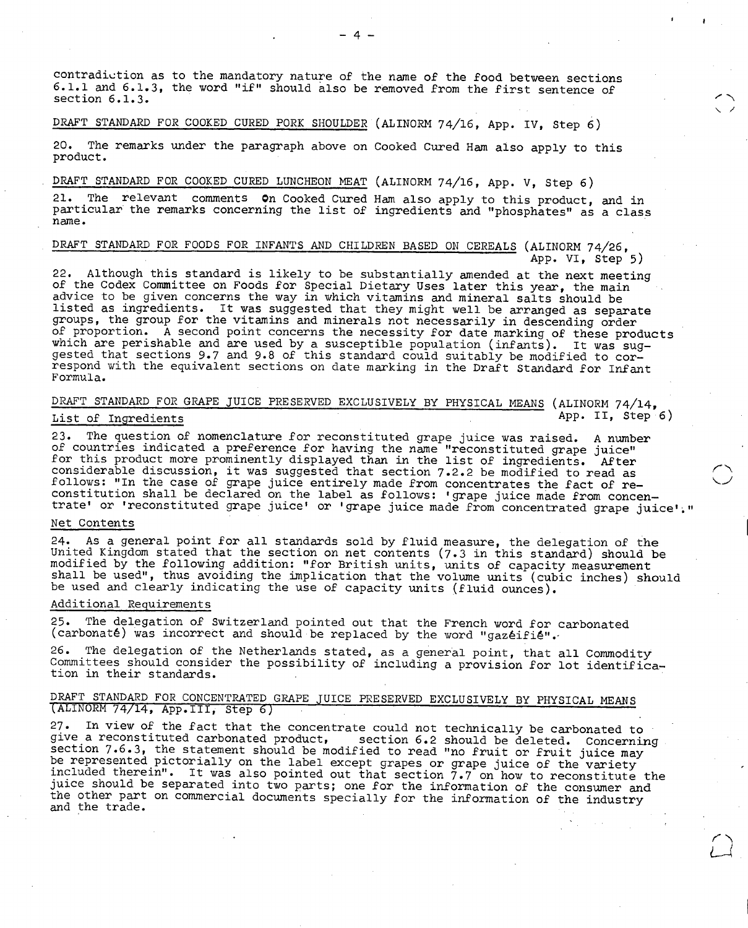contradiction as to the mandatory nature of the name of the food between sections 6.1.1 and 6.1.3, the word "if" should also be removed from the first sentence of section 6.1.3.

 $-4-$ 

# DRAFT STANDARD FOR COOKED CURED PORK SHOULDER (ALINORM 74/16, App. IV, Step 6)

The remarks under the paragraph above on Cooked Cured Ham also apply to this product.

# DRAFT STANDARD FOR COOKED CURED LUNCHEON MEAT (ALINORM 74/16, App. V, Step 6)

The relevant comments **On** Cooked Cured Ham also apply to this product, and in 21. particular the remarks concerning the list of ingredients and "phosphates" as a class name.

# DRAFT STANDARD FOR FOODS FOR INFANTS AND CHILDREN BASED ON CEREALS (ALINORM 74/26, App. VI, Step 5)

22. Although this standard is likely to be substantially amended at the next meeting of the Codex Committee on Foods for Special Dietary Uses later this year, the main advice to be given concerns the way in which vitamins and mineral salts should be listed as ingredients. It was suggested that they might well be arranged as separate groups, the group for the vitamins and minerals not necessarily in descending order of proportion. A second point concerns the necessity for date marking of these products which are perishable and are used by a susceptible population (infants). It was suggested that sections 9.7 and 9.8 of this standard could suitably be modified to correspond with the equivalent sections on date marking in the Draft Standard for Infant Formula.

# DRAFT STANDARD FOR GRAPE JUICE PRESERVED EXCLUSIVELY BY PHYSICAL MEANS (ALINORM 74/14, List of Ingredients App. II, Step 6)

The question of nomenclature for reconstituted grape juice was raised. A number  $23.$ of countries indicated a preference for having the name "reconstituted grape juice" for this product more prominently displayed than in the list of ingredients. After considerable discussion, it was suggested that section 7.2.2 be modified to read as follows: "In the case of grape juice entirely made from concentrates the fact of reconstitution shall be declared on the label as follows: 'grape juice made from concentrate' or 'reconstituted grape juice' or 'grape juice made from concentrated grape juice'."

# Net Contents

As a general point for all standards sold by fluid measure, the delegation of the  $24.$ United Kingdom stated that the section on net contents (7.3 in this standard) should be modified by the following addition: "for British units, units of capacity measurement shall be used", thus avoiding the implication that the volume units (cubic inches) should be used and clearly indicating the use of capacity units (fluid ounces).

### Additional Requirements

25. The delegation of Switzerland pointed out that the French word for carbonated (carbonaté) was incorrect and should be replaced by the word "gazéifié".-

The delegation of the Netherlands stated, as a general point, that all Commodity 26. Committees should consider the possibility of including a provision for lot identification in their standards.

# DRAFT STANDARD FOR CONCENTRATED GRAPE JUICE PRESERVED EXCLUSIVELY BY PHYSICAL MEANS (ALINORM 74/14, App.III, Step 6)

27. In view of the fact that the concentrate could not technically be carbonated to<br>give a reconstituted carbonated product, section 6.2 should be deleted. Concerning give a reconstituted carbonated product, section 6.2 should be deleted. Concerning section 7.6.3, the statement should be modified to read "no fruit or fruit juice may be represented pictorially on the label except grapes or grape juice of the variety included therein". It was also pointed out that section 7.7 on how to reconstitute the juice should be separated into two parts; one for the information of the consumer and<br>the other part on commercial documents specially for the information of the industry and the trade.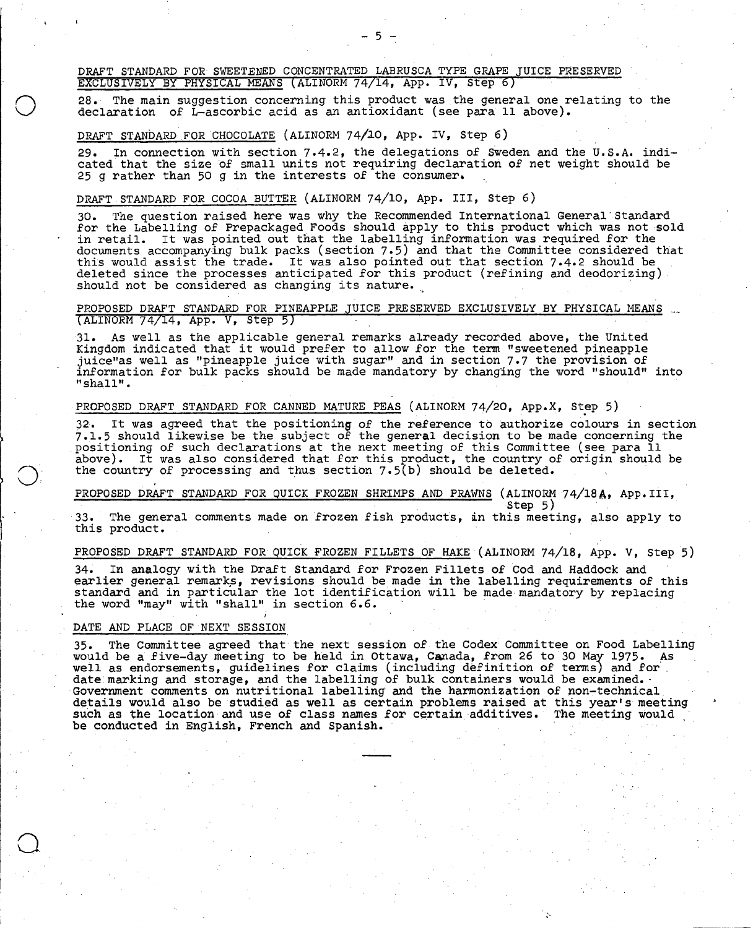DRAFT STANDARD FOR SWEETENED CONCENTRATED LABRUSCA TYPE GRAPE JUICE PRESERVED EXCLUSIVELY BY PHYSICAL MEANS(ALINORM 74/14, App. IV, Step 6)

The main suggestion concerning this product was the general one relating to the declaration of  $\tilde{L}$ -ascorbic acid as an antioxidant (see para 11 above).

 $5 -$ 

### DRAFT STANDARD FOR CHOCOLATE(ALINORM 74/10, App. IV, Step 6)

In connection with section 7.4.2, the delegations of Sweden and the U.S.A. indi- $29.$ cated that the size of small units not requiring declaration of net weight should be 25 g rather than 50 g in the interests of the consumer.

# DRAFT STANDARD FOR COCOA BUTTER (ALINORM 74/10, App. III, Step 6)

The question raised here was why the Recommended International General' Standard  $30$ for the Labelling of Prepackaged Foods should Apply to this product which was not sold in retail. It was pointed out that the labelling information was required for the documents accompanying bulk packs (section 7.5) and that the Committee considered that this would assist the trade. It was also pointed out that section 7.4.2 should be deleted since the processes anticipated for this product (refining and deodorizing) should not be considered as changing its nature.

# PROPOSED DRAFT STANDARD FOR PINEAPPLE JUICE PRESERVED EXCLUSIVELY BY PHYSICAL MEANS (ALINORM 74/14, App. V, Step 5)

As well as the applicable general remarks already recorded above, the United Kingdom indicated that it would prefer to allow for the term "sweetened pineapple juice"as well as "pineapple juice with sugar" and in section 7.7 the provision of information for bulk packs should be made mandatory by changing the word "should" into "shall".

### PROPOSED DRAFT STANDARD FOR CANNED MATURE PEAS (ALINORM 74/20, App.X, Step .5)

It was agreed that the positioning of the reference to authorize colours in section 7.1.5 should likewise be the subject of the general decision to be made concerning the positioning of such declarations at the next meeting of this Committee (see para 11 above). It was also considered that for this product, the country of origin should be the country of processing and thus section 7.5(b) should be deleted.

# PROPOSED DRAFT STANDARD FOR QUICK FROZEN SHRIMPS AND PRAWNS (ALINORM 74/18A, App.III,

33. The general comments made on frozen fish products, in this meeting, also apply to this product. .

Step 5)

# PROPOSED DRAFT STANDARD FOR QUICK FROZEN FILLETS OF HAKE (ALINORM 74/18, App. V, Step 5)

In analogy with the Draft Standard for Frozen Fillets of Cod and Haddock and earlier general remarks, revisions should be made in the labelling requirements of this standard and in particular the lot identification will be made mandatory by replacing the word "may" with "shall" in section 6.6.

### DATE AND PLACE OF NEXT SESSION

The Committee agreed that the next session of the Codex Committee on Food Labelling would be a five-day meeting to be held in Ottawa, Canada, from 26 to 30 May 1975. As well as endorsements, guidelines for claims (including definition of terms) and for . date marking and storage, and the labelling of bulk containers would be examined.  $\cdot$ Government comments on nutritional labelling and the harmonization of non-technical. details would also be studied as well as certain problems raised at this year's meeting such as the location and use of class names for certain additives. The meeting would be conducted in English, French and Spanish.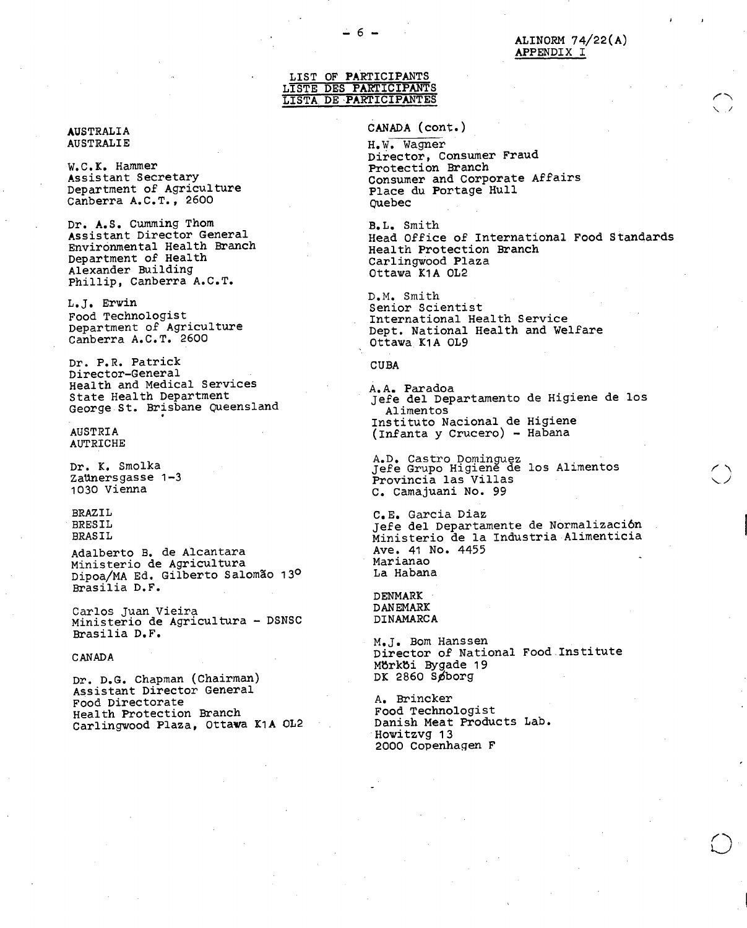# LIST OF PARTICIPANTS LISTE DES PARTICIPANTS LISTA. DE PARTICIPANTES

### AUSTRALIA AUSTRALIE

W.C.K. Hammer Assistant Secretary Department of Agriculture Canberra A.C.T., 2600

Dr. A.S. Cumming Thom Assistant Director General Environmental Health Branch Department of Health Alexander Building Phillip, Canberra A.C.T.

L.J. Erwin Food Technologist Department of Agriculture Canberra A.C.T. 2600

Dr. P.R. Patrick Director-General Health and Medical Services State Health Department George St. Brisbane Queensland

AUSTRIA AUTRICHE

Dr. K. Smolka Zaünersgasse 1-3 1030 Vienna

BRAZIL BRESIL BRASIL

Adalberto B. de Alcantara Ministerio de Agricultura Dipoa/MA Ed. Gilberto Salomão 13º Brasilia D.F.

Carlos Juan Vieira Ministerio de Agricultura - DSNSC Brasilia D.F.

CANADA

Dr. D.G. Chapman (Chairman) Assistant Director General Food Directorate Health Protection Branch Carlingwood Plaza, Ottawa K1A OL2 CANADA (cont.)

H.W. Wagner Director, Consumer Fraud Protection Branch Consumer and Corporate Affairs Place du Portage Hull Quebec

B.L. Smith Head Office of International Food Standards Health Protection Branch Carlingwood Plaza Ottawa K1A OL2

D.M. Smith Senior Scientist International Health Service Dept. National Health and Welfare Ottawa K1A OL9

CUBA

A.A. Paradoa Jefe del Departamento de Higiene de los Alimentos Instituto Nacional de (Infanta y Crucero) - Higiene Habana

A.D. Castro Dominguez Jefe Grupo Higiene de los Alimentos Provincia las Villas C. Camajuani No. 99

C.E. Garcia Diaz Jefe del Departamente de Normalización Ministerio de la Industria Alimenticia Ave. 41 No. 4455 Marianao La Habana

DENMARK DANEMARK DINAMARCA

M.J. Bom Hanssen Director of National Food Institute Mbrkbi Bygade 19  $DK$  2860 Spborg

A. Brincker Food Technologist Danish Meat Products Lab. Howitzvg 13 2000 Copenhagen F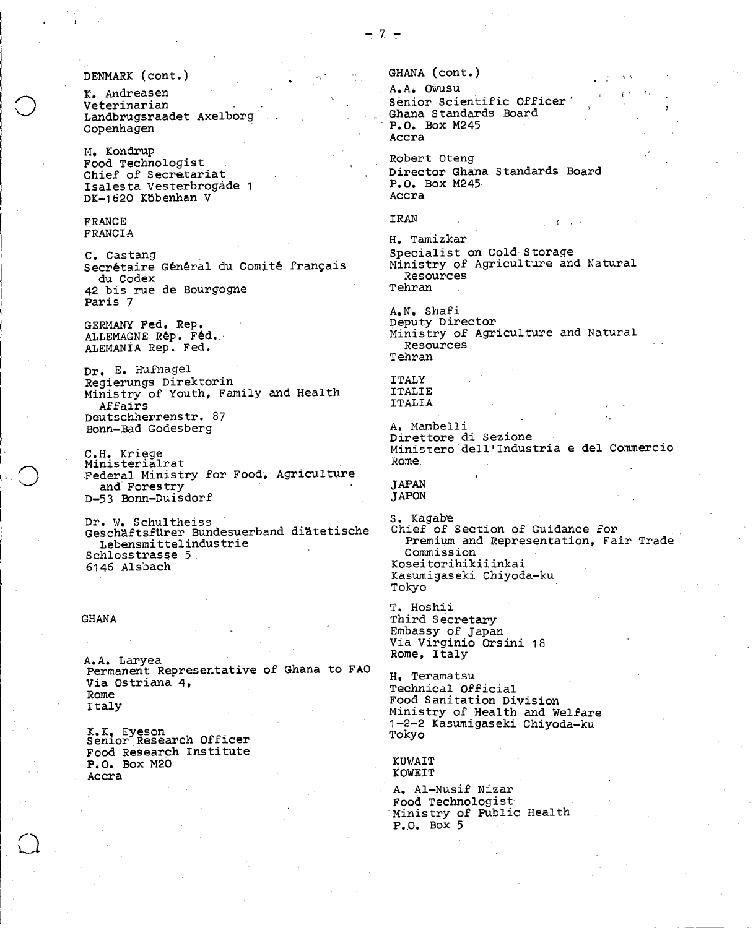# DENMARK (Cont.)

K. Andreasen Veterinarian Landbrugsraadet Axelborg Copenhagen

M. Kondrup Food Technologist Chief of Secretariat Isalesta Vesterbrogáde 1 DK-1620 Kbbenhan V

### FRANCE FRANCIA

C. Castang Secrétaire Général du Comité français du Codex 42 bis rue de Bourgogne Paris 7

GERMANY Fed. Rep. ALLEMAGNE Rép. Féd. ALEMANIA Rep. Fed.

Dr. E. Hufnagel Regierungs Direktorin Ministry of Youth, Family and. Health Affairs Deutschherrenstr. 87 Bonn-Bad Godesberg

C.H. Kriege Ministerialrat Federal Ministry for Food, Agriculture and Forestry D-53 Bonn-Duisdorf

Dr. W. Schultheiss • GeschAftsftlrer Bundesuerband diatetische Lebensmittelindustrie Schlosstrasse 5., 6146 Alsbach

### GHANA

A.A. Laryea Permanent Representative of Ghana to FAO Via Ostriana 4, Rome Italy

K.K, Eyeson Senior Research Officer Food Research Institute P.O. Box M20 Accra

GHANA (cont.)

A.A. Owusu Senior Scientific Officer Ghana Standards Board P.O. Box M245 Accra

Robert Oteng Director Ghana Standards Board P.O. Box M245 Accra

IRAN

H. Tamizkar Specialist on Cold Storage Ministry of Agriculture and Natural Resources Tehran

A.N. Shafi Deputy Director Ministry of Agriculture and Natural Resources Tehran

ITALY ITALIE ITALIA

A. Mambelli Direttore di Sezione Ministero dell'Industria e del Commercio Rome .

### JAPAN JAPON

S. Kagabe Chief of Section of Guidance for Premium and Representation, Fair Trade Commission Koseitorihikiiinkai Kasumigaseki Chiyoda-ku Tokyo

T. Hoshii Third Secretary Embassy of Japan Via Virginio Orsini 18 Rome, Italy

H. Teramatsu Technical Official Food Sanitation Division Ministry of Health and Welfare 1-2-2 Kasumigaseki Chiyoda-ku Tokyo

KUWAIT KOWEIT

A. Al-Nusif Nizar Food Technologist Ministry of Public Health P.O. Box 5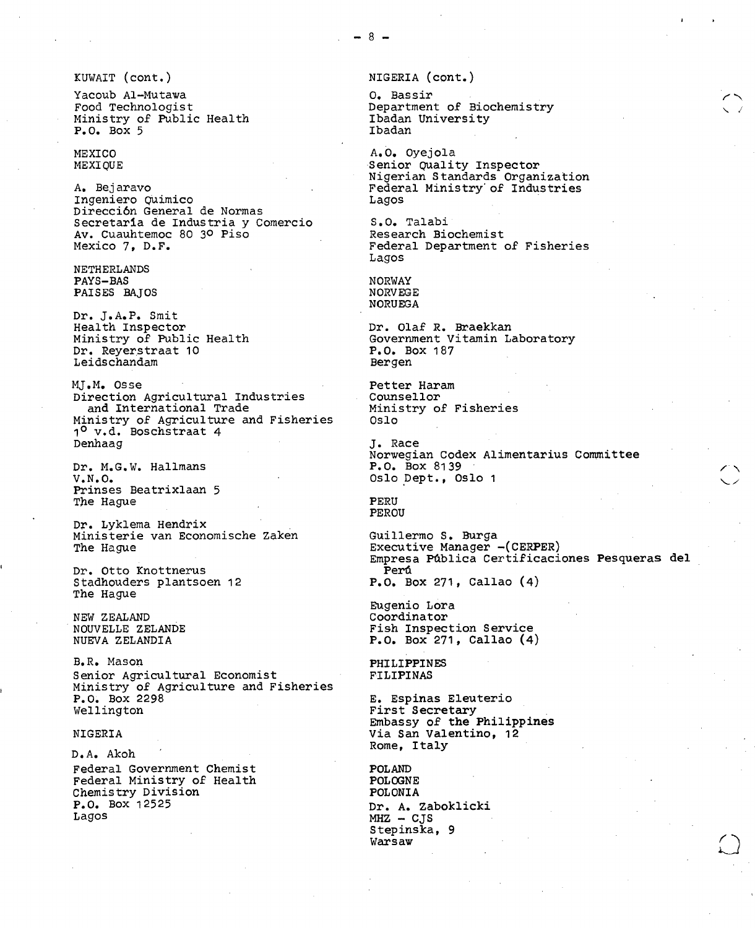Yacoub Al-Mutawa O. Bassir Ministry of Public Health Ibadan Ibadan  $P. O. Box 5$ 

A. Bejaravo Federal Ministry'of Industries Ingeniero Quimico Dirección General de Normas Secretaria de Industria y Comercio (S.O. Talabi)<br>Av. Cuauhtemoc 80 3º Piso (Research Biochemist) Av. Cuauhtemoc 80 3º Piso<br>Mexico 7, D.F.

NETHERLANDS PAYS-BAS NORWAY NORWAY NORWAY NORWAY NORWAY NORWAY NORWAY NORWEGE PAISES BAJOS

Dr. J.A.P. Smit<br>Health Inspector Health Inspector Dr. Olaf R. Braekkan Dr. Reyerstraat 10 P.O. Box 1874 P.O. Box 1874 P.O. 2012 Leidschandam

MJ.M. Osse Petter Haram Direction Agricultural Industries Counsellor<br>
and International Trade Ministry of Fisheries and International Trade Ministry of Fisheries Ministry of Agriculture and Fisheries 1<sup>0</sup> v.d. Boschstraat 4 Denhaag J. Race

Dr. M.G.W. Hallmans V.N.O. COME CONSECTED A CONSUMER CONSUMING CONSUMING CONSUMING CONSUMING A CONSUMING CONSUMING CONSUMING CONSUMING CONSUMING A CONSUMING CONSUMING CONSUMING CONSUMING CONSUMING CONSUMING CONSUMING CONSUMING CONSUMING CONSU Prinses Beatrixlaan 5 The Hague **PERU** 

Dr. Lyklema Hendrix . Ministerie van Economische Zaken Guillermo S. Burga<br>The Hague Geometriche Guillermo S. Burga

Dr. Otto Knottnerus<br>Stadhouders plantsoen 12 The Hague

NEW ZEALAND Coordinator

B.R. Mason PHILIPPINES Senior Agricultural Economist Ministry of Agriculture and Fisheries<br>P.O. Box 2298 P.O. Box 2298 E. Espinas Eleuterio

D.A. Akoh Federal Government Chemist<br>
Federal Ministry of Health POLOGNE Federal Ministry of Health POLOGNE Chemistry Division<br>P.O. Box 12525 P.O. Box 12525 Dr. A. Zaboklicki<br>Lagos Dr. A. Zaboklicki

KUWAIT (cont.) NIGERIA (cont.)

Department of Biochemistry<br>Ibadan University

MEXICO A.O. Oyejola Senior Quality Inspector Nigerian Standards Organization

> Federal Department of Fisheries Lagos

NORUEGA

Government Vitamin Laboratory<br>P.O. Box 187

Norwegian Codex Alimentarius Committee

PEROU

Executive Manager -(CERPER) Empresa Pública Certificaciones Pesqueras del  $P. O. Box 271, Callao (4)$ 

Eugenio Lora NOUVELLE ZELANDE Fish Inspection Service  $P. 0.$  Box 271, Callao  $(4)$ 

First Secretary Embassy of the Philippines NIGERIA Via San Valentino, 12 Rome, Italy

> $MHZ - CJS$ Stepinska, 9 Warsaw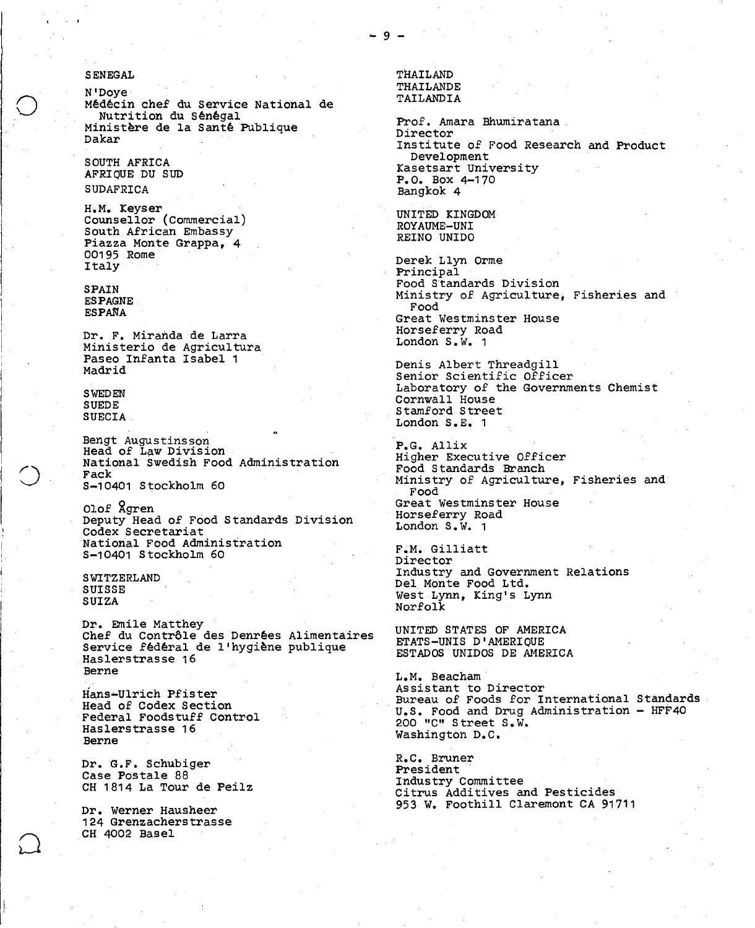### SENEGAL

N'Doye Médécin chef du Service National de Nutrition du Sénégal Ministère de la Santé Publique Dakar

SOUTH AFRICA AFRIQUE DU SUD SUDAFRICA

H.M. Keyser Counsellor (Commercial) South African Embassy Piazza Monte Grappa, 4 00195 Rome Italy

SPAIN ESPAGNE. ESPANA

Dr. F. Miranda de Larra Ministerio de Agricultura Paseo Infanta Isabel 1 Madrid

SWEDEN SUEDE SUECIA.

Bengt Augustinsson Head of Law Division National Swedish Food Administration Fack S-10401 Stockholm 60

Olof Rgren Deputy Head of Food Standards Division Codex Secretariat 'National Food Administration S-10401 Stockholm 60

**SWITZERLAND SUISSE** SUIZA

Dr. Emile Matthey Chef du Contrôle des Denrées Alimentaires Service fédéral de l'hygiène publique Haslerstrasse 16 Berne

Hans-Ulrich Pfister Head of Codex Section Federal Foodstuff Control Haslerstrasse 16 Berne

Dr. G.F. Schubiger Case Postale 88 CH 1814 La Tour de Peilz

Dr. Werner Hausheer 124 Grenzacherstrasse CH 4002 Basel

THAILAND THAILANDE TAILANDIA

Prof. Amara Bhumiratana. Director Institute of Food Research and Product. Development Kasetsart University P.O. Box 4-170 Bangkok 4

UNITED KINGDOM ROYAUME-UNI REINO UNIDO

Derek Llyn Orme Principal Food Standards Division Ministry of Agriculture, Fisheries and Food Great Westminster House Horseferry Road London S.W. 1

Denis Albert Threadgill Senior Scientific Officer Laboratory of the Governments Chemist Cornwall House Stamford. Street London S.E. 1

P.G. Allix Higher Executive Officer Food Standards Branch Ministry of Agriculture, Fisheries and Food Great Westminster House Horseferry Road London S.W. 1

F.M. Gilliatt Director Industry and Government Relations Del Monte Food Ltd. West Lynn, King's Lynn Norfolk

UNITED STATES OF AMERICA ETATS-UNIS D'AMERIQUE ESTADOS UNIDOS DE AMERICA

L.M. Beacham Assistant to Director Bureau of Foods for International Standards U.S. Food and Drug Administration - HFF40 200 "C" Street S.W. Washington D.C.

R.C. Bruner President Industry Committee Citrus Additives and Pesticides 953 W. Foothill Claremont CA 91711